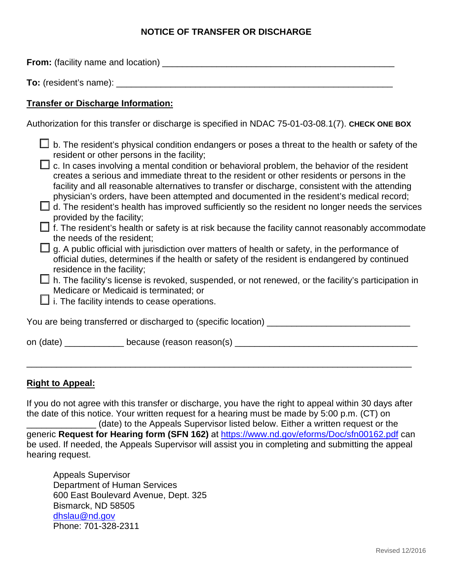### **NOTICE OF TRANSFER OR DISCHARGE**

**From:** (facility name and location) \_\_\_\_\_\_\_\_\_\_\_\_\_\_\_\_\_\_\_\_\_\_\_\_\_\_\_\_\_\_\_\_\_\_\_\_\_\_\_\_\_\_\_\_\_\_\_

**To:** (resident's name): \_\_\_\_\_\_\_\_\_\_\_\_\_\_\_\_\_\_\_\_\_\_\_\_\_\_\_\_\_\_\_\_\_\_\_\_\_\_\_\_\_\_\_\_\_\_\_\_\_\_\_\_\_\_\_\_

## **Transfer or Discharge Information:**

Authorization for this transfer or discharge is specified in NDAC 75-01-03-08.1(7). **CHECK ONE BOX**

| provided by the facility;<br>the needs of the resident;<br>residence in the facility; | b. The resident's physical condition endangers or poses a threat to the health or safety of the<br>resident or other persons in the facility;<br>c. In cases involving a mental condition or behavioral problem, the behavior of the resident<br>creates a serious and immediate threat to the resident or other residents or persons in the<br>facility and all reasonable alternatives to transfer or discharge, consistent with the attending<br>physician's orders, have been attempted and documented in the resident's medical record;<br>$\Box$ d. The resident's health has improved sufficiently so the resident no longer needs the services<br>$\Box$ f. The resident's health or safety is at risk because the facility cannot reasonably accommodate<br>g. A public official with jurisdiction over matters of health or safety, in the performance of<br>official duties, determines if the health or safety of the resident is endangered by continued<br>h. The facility's license is revoked, suspended, or not renewed, or the facility's participation in<br>Medicare or Medicaid is terminated; or |
|---------------------------------------------------------------------------------------|------------------------------------------------------------------------------------------------------------------------------------------------------------------------------------------------------------------------------------------------------------------------------------------------------------------------------------------------------------------------------------------------------------------------------------------------------------------------------------------------------------------------------------------------------------------------------------------------------------------------------------------------------------------------------------------------------------------------------------------------------------------------------------------------------------------------------------------------------------------------------------------------------------------------------------------------------------------------------------------------------------------------------------------------------------------------------------------------------------------------|
|                                                                                       | i. The facility intends to cease operations.                                                                                                                                                                                                                                                                                                                                                                                                                                                                                                                                                                                                                                                                                                                                                                                                                                                                                                                                                                                                                                                                           |
|                                                                                       | You are being transferred or discharged to (specific location) ___                                                                                                                                                                                                                                                                                                                                                                                                                                                                                                                                                                                                                                                                                                                                                                                                                                                                                                                                                                                                                                                     |
|                                                                                       | on (date) _______________ because (reason reason(s)                                                                                                                                                                                                                                                                                                                                                                                                                                                                                                                                                                                                                                                                                                                                                                                                                                                                                                                                                                                                                                                                    |

#### **Right to Appeal:**

If you do not agree with this transfer or discharge, you have the right to appeal within 30 days after the date of this notice. Your written request for a hearing must be made by 5:00 p.m. (CT) on

\_\_\_\_\_\_\_\_\_\_\_\_\_\_\_\_\_\_\_\_\_\_\_\_\_\_\_\_\_\_\_\_\_\_\_\_\_\_\_\_\_\_\_\_\_\_\_\_\_\_\_\_\_\_\_\_\_\_\_\_\_\_\_\_\_\_\_\_\_\_\_\_\_\_\_\_\_\_

\_\_\_\_\_\_\_\_\_\_\_\_\_\_ (date) to the Appeals Supervisor listed below. Either a written request or the generic **Request for Hearing form (SFN 162)** at <https://www.nd.gov/eforms/Doc/sfn00162.pdf> can be used. If needed, the Appeals Supervisor will assist you in completing and submitting the appeal hearing request.

Appeals Supervisor Department of Human Services 600 East Boulevard Avenue, Dept. 325 Bismarck, ND 58505 [dhslau@nd.gov](mailto:dhslau@nd.gov) Phone: 701-328-2311